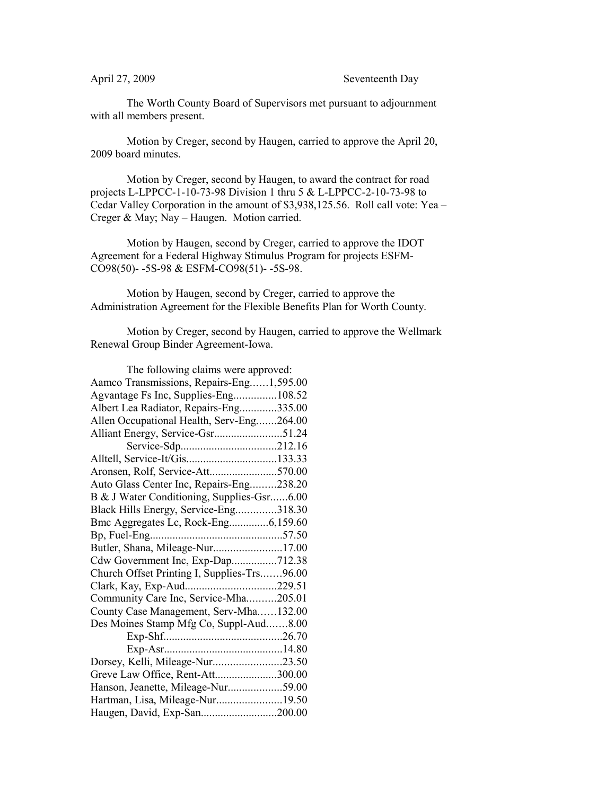The Worth County Board of Supervisors met pursuant to adjournment with all members present.

Motion by Creger, second by Haugen, carried to approve the April 20, 2009 board minutes.

Motion by Creger, second by Haugen, to award the contract for road projects L-LPPCC-1-10-73-98 Division 1 thru 5 & L-LPPCC-2-10-73-98 to Cedar Valley Corporation in the amount of \$3,938,125.56. Roll call vote: Yea – Creger & May; Nay – Haugen. Motion carried.

Motion by Haugen, second by Creger, carried to approve the IDOT Agreement for a Federal Highway Stimulus Program for projects ESFM-CO98(50)- -5S-98 & ESFM-CO98(51)- -5S-98.

Motion by Haugen, second by Creger, carried to approve the Administration Agreement for the Flexible Benefits Plan for Worth County.

Motion by Creger, second by Haugen, carried to approve the Wellmark Renewal Group Binder Agreement-Iowa.

| The following claims were approved:         |  |  |
|---------------------------------------------|--|--|
| Aamco Transmissions, Repairs-Eng1,595.00    |  |  |
| Agvantage Fs Inc, Supplies-Eng108.52        |  |  |
| Albert Lea Radiator, Repairs-Eng335.00      |  |  |
| Allen Occupational Health, Serv-Eng264.00   |  |  |
|                                             |  |  |
|                                             |  |  |
|                                             |  |  |
| Aronsen, Rolf, Service-Att570.00            |  |  |
| Auto Glass Center Inc, Repairs-Eng238.20    |  |  |
| B & J Water Conditioning, Supplies-Gsr6.00  |  |  |
| Black Hills Energy, Service-Eng318.30       |  |  |
| Bmc Aggregates Lc, Rock-Eng6,159.60         |  |  |
|                                             |  |  |
| Butler, Shana, Mileage-Nur17.00             |  |  |
| Cdw Government Inc, Exp-Dap712.38           |  |  |
| Church Offset Printing I, Supplies-Trs96.00 |  |  |
| Clark, Kay, Exp-Aud229.51                   |  |  |
| Community Care Inc, Service-Mha205.01       |  |  |
| County Case Management, Serv-Mha132.00      |  |  |
| Des Moines Stamp Mfg Co, Suppl-Aud8.00      |  |  |
|                                             |  |  |
|                                             |  |  |
| Dorsey, Kelli, Mileage-Nur23.50             |  |  |
| Greve Law Office, Rent-Att300.00            |  |  |
| Hanson, Jeanette, Mileage-Nur59.00          |  |  |
| Hartman, Lisa, Mileage-Nur19.50             |  |  |
| Haugen, David, Exp-San200.00                |  |  |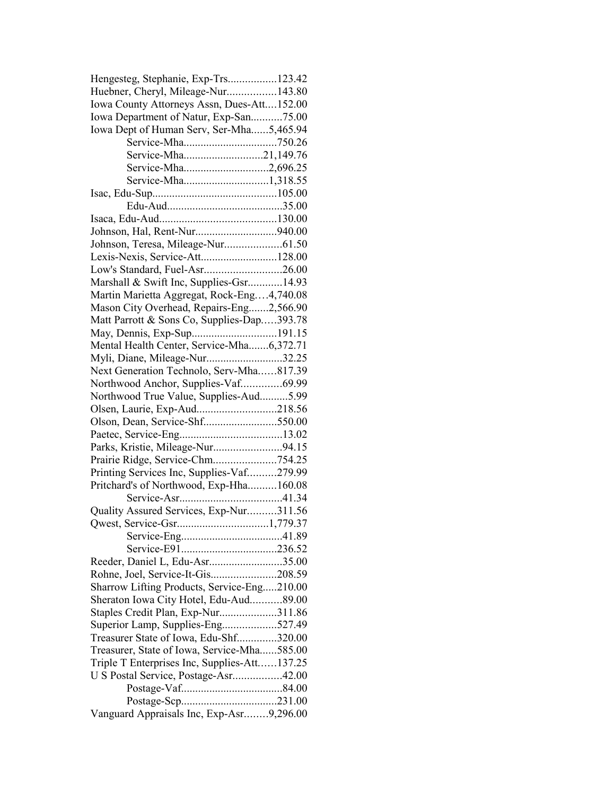| Hengesteg, Stephanie, Exp-Trs123.42          |  |
|----------------------------------------------|--|
| Huebner, Cheryl, Mileage-Nur143.80           |  |
| Iowa County Attorneys Assn, Dues-Att152.00   |  |
| Iowa Department of Natur, Exp-San75.00       |  |
| Iowa Dept of Human Serv, Ser-Mha5,465.94     |  |
|                                              |  |
| Service-Mha21,149.76                         |  |
| Service-Mha2,696.25                          |  |
|                                              |  |
|                                              |  |
|                                              |  |
|                                              |  |
|                                              |  |
|                                              |  |
| Lexis-Nexis, Service-Att128.00               |  |
| Low's Standard, Fuel-Asr26.00                |  |
| Marshall & Swift Inc, Supplies-Gsr14.93      |  |
| Martin Marietta Aggregat, Rock-Eng4,740.08   |  |
| Mason City Overhead, Repairs-Eng2,566.90     |  |
| Matt Parrott & Sons Co, Supplies-Dap393.78   |  |
|                                              |  |
| Mental Health Center, Service-Mha6,372.71    |  |
| Myli, Diane, Mileage-Nur32.25                |  |
| Next Generation Technolo, Serv-Mha817.39     |  |
| Northwood Anchor, Supplies-Vaf69.99          |  |
| Northwood True Value, Supplies-Aud5.99       |  |
| Olsen, Laurie, Exp-Aud218.56                 |  |
| Olson, Dean, Service-Shf550.00               |  |
|                                              |  |
| Parks, Kristie, Mileage-Nur94.15             |  |
| Prairie Ridge, Service-Chm754.25             |  |
| Printing Services Inc, Supplies-Vaf279.99    |  |
| Pritchard's of Northwood, Exp-Hha160.08      |  |
|                                              |  |
|                                              |  |
| Quality Assured Services, Exp-Nur311.56      |  |
|                                              |  |
|                                              |  |
|                                              |  |
| Reeder, Daniel L, Edu-Asr35.00               |  |
| Rohne, Joel, Service-It-Gis208.59            |  |
| Sharrow Lifting Products, Service-Eng210.00  |  |
| Sheraton Iowa City Hotel, Edu-Aud89.00       |  |
| Staples Credit Plan, Exp-Nur311.86           |  |
| Superior Lamp, Supplies-Eng527.49            |  |
| Treasurer State of Iowa, Edu-Shf320.00       |  |
| Treasurer, State of Iowa, Service-Mha585.00  |  |
| Triple T Enterprises Inc, Supplies-Att137.25 |  |
| U S Postal Service, Postage-Asr42.00         |  |
|                                              |  |
|                                              |  |
| Vanguard Appraisals Inc, Exp-Asr9,296.00     |  |